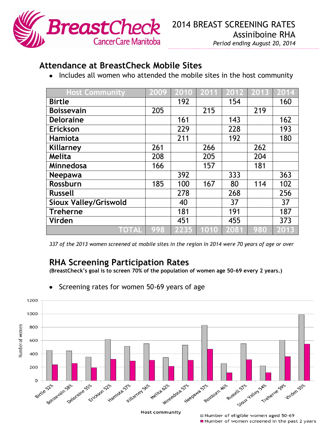

## *Period ending August 20, 2014*

## **Attendance at BreastCheck Mobile Sites**

• Includes all women who attended the mobile sites in the host community

| <b>Host Community</b>        | 2009 | 2010 | 2011 | 2012 | 2013 | 2014 |
|------------------------------|------|------|------|------|------|------|
| <b>Birtle</b>                |      | 192  |      | 154  |      | 160  |
| <b>Boissevain</b>            | 205  |      | 215  |      | 219  |      |
| <b>Deloraine</b>             |      | 161  |      | 143  |      | 162  |
| Erickson                     |      | 229  |      | 228  |      | 193  |
| <b>Hamiota</b>               |      | 211  |      | 192  |      | 180  |
| Killarney                    | 261  |      | 266  |      | 262  |      |
| Melita                       | 208  |      | 205  |      | 204  |      |
| Minnedosa                    | 166  |      | 157  |      | 181  |      |
| <b>Neepawa</b>               |      | 392  |      | 333  |      | 363  |
| Rossburn                     | 185  | 100  | 167  | 80   | 114  | 102  |
| <b>Russell</b>               |      | 278  |      | 268  |      | 256  |
| <b>Sioux Valley/Griswold</b> |      | 40   |      | 37   |      | 37   |
| <b>Treherne</b>              |      | 181  |      | 191  |      | 187  |
| Virden                       |      | 451  |      | 455  |      | 373  |
| <b>TOTAL</b>                 | 998  | 2235 | 1010 | 2081 | 980  | 2013 |

*337 of the 2013 women screened at mobile sites in the region in 2014 were 70 years of age or over*

## **RHA Screening Participation Rates**

**(BreastCheck's goal is to screen 70% of the population of women age 50-69 every 2 years.)**



Screening rates for women 50-69 years of age